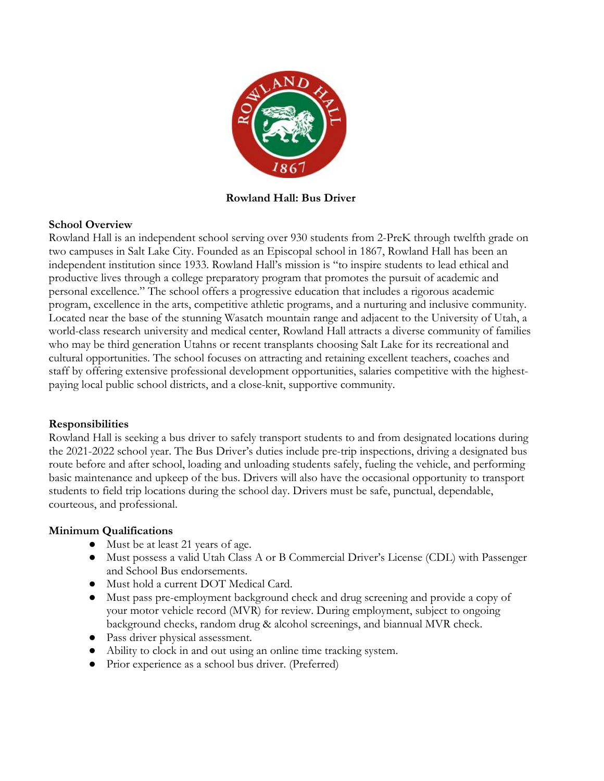

**Rowland Hall: Bus Driver**

## **School Overview**

Rowland Hall is an independent school serving over 930 students from 2-PreK through twelfth grade on two campuses in Salt Lake City. Founded as an Episcopal school in 1867, Rowland Hall has been an independent institution since 1933. Rowland Hall's mission is "to inspire students to lead ethical and productive lives through a college preparatory program that promotes the pursuit of academic and personal excellence." The school offers a progressive education that includes a rigorous academic program, excellence in the arts, competitive athletic programs, and a nurturing and inclusive community. Located near the base of the stunning Wasatch mountain range and adjacent to the University of Utah, a world-class research university and medical center, Rowland Hall attracts a diverse community of families who may be third generation Utahns or recent transplants choosing Salt Lake for its recreational and cultural opportunities. The school focuses on attracting and retaining excellent teachers, coaches and staff by offering extensive professional development opportunities, salaries competitive with the highestpaying local public school districts, and a close-knit, supportive community.

## **Responsibilities**

Rowland Hall is seeking a bus driver to safely transport students to and from designated locations during the 2021-2022 school year. The Bus Driver's duties include pre-trip inspections, driving a designated bus route before and after school, loading and unloading students safely, fueling the vehicle, and performing basic maintenance and upkeep of the bus. Drivers will also have the occasional opportunity to transport students to field trip locations during the school day. Drivers must be safe, punctual, dependable, courteous, and professional.

## **Minimum Qualifications**

- Must be at least 21 years of age.
- Must possess a valid Utah Class A or B Commercial Driver's License (CDL) with Passenger and School Bus endorsements.
- Must hold a current DOT Medical Card.
- Must pass pre-employment background check and drug screening and provide a copy of your motor vehicle record (MVR) for review. During employment, subject to ongoing background checks, random drug & alcohol screenings, and biannual MVR check.
- Pass driver physical assessment.
- Ability to clock in and out using an online time tracking system.
- Prior experience as a school bus driver. (Preferred)